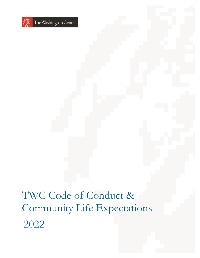

TWC Code of Conduct & Community Life Expectations 2022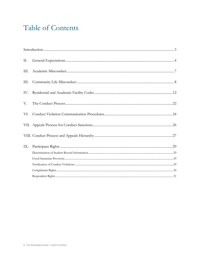### Table of Contents

| Π.   |  |
|------|--|
| III. |  |
| III. |  |
| IV.  |  |
| V.   |  |
| VI.  |  |
|      |  |
|      |  |
| IX.  |  |
|      |  |
|      |  |
|      |  |
|      |  |
|      |  |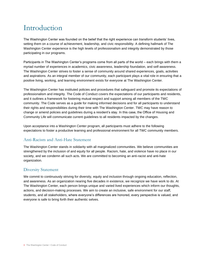### Introduction

The Washington Center was founded on the belief that the right experience can transform students' lives, setting them on a course of achievement, leadership, and civic responsibility. A defining hallmark of The Washington Center experience is the high levels of professionalism and integrity demonstrated by those participating in our programs.

Participants in The Washington Center's programs come from all parts of the world – each brings with them a myriad number of experiences in academics, civic awareness, leadership foundation, and self-awareness. The Washington Center strives to foster a sense of community around shared experiences, goals, activities and aspirations. As an integral member of our community, each participant plays a vital role in ensuring that a positive living, working, and learning environment exists for everyone at The Washington Center.

The Washington Center has instituted policies and procedures that safeguard and promote its expectations of professionalism and integrity. The Code of Conduct covers the expectations of our participants and residents, and it outlines a framework for fostering mutual respect and support among all members of the TWC community. The Code serves as a guide for making informed decisions and for all participants to understand their rights and responsibilities during their time with The Washington Center. TWC may have reason to change or amend policies and guidelines during a resident's stay. In this case, the Office of Housing and Community Life will communicate current guidelines to all residents impacted by the changes.

Upon acceptance into a Washington Center program, all participants must adhere to the following expectations to foster a productive learning and professional environment for all TWC community members.

#### Anti-Racism and Anti-Hate Statement

The Washington Center stands in solidarity with all marginalized communities. We believe communities are strengthened by the inclusion of and equity for all people. Racism, hate, and violence have no place in our society, and we condemn all such acts. We are committed to becoming an anti-racist and anti-hate organization.

#### Diversity Statement

We commit to continuously striving for diversity, equity and inclusion through ongoing education, reflection, and awareness. As an organization nearing five decades in existence, we recognize we have work to do. At The Washington Center, each person brings unique and varied lived experiences which inform our thoughts, actions, and decision-making processes. We aim to create an inclusive, safe environment for our staff, students, and all stakeholders, where everyone's differences are honored, every perspective is valued, and everyone is safe to bring forth their authentic selves.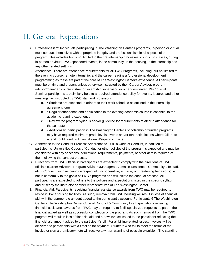### II. General Expectations

- A. Professionalism: Individuals participating in The Washington Center's programs, in-person or virtual, must conduct themselves with appropriate integrity and professionalism in all aspects of the program. This includes but is not limited to the pre-internship processes, conduct in classes, during in-person or virtual TWC sponsored events, in the community, in the housing, in the internship and any other related settings.
- B. Attendance: There are attendance requirements for all TWC Programs, including, but not limited to the evening course, remote internship, and the career readiness/professional development programming as these are part of the core of The Washington Center's experience. All participants must be on time and present unless otherwise instructed by their Career Advisor, program advisor/manager, course instructor, internship supervisor, or other designated TWC official. Seminar participants are similarly held to a required attendance policy for events, lectures and other meetings, as instructed by TWC staff and professors.
	- a. Students are expected to adhere to their work schedule as outlined in the internship agreement form
	- b. Regular attendance and participation in the evening academic course is essential to the academic learning experience
	- c. Review the program syllabus and/or guideline for requirements related to attendance for the semester
	- d. Additionally, participation in The Washington Center's scholarship or funded programs may have required minimum grade levels, events and/or other stipulations where failure to attend could result in financial award/stipend impacts
- C. Adherence to the Conduct Process: Adherence to TWC's Code of Conduct, in addition to, participants' Universities Codes of Conduct or other policies of the program is expected and may be considered with any sanctions, educational requirements, payments, or other details required of them following the conduct process.
- D. Directions from TWC Officials: Participants are expected to comply with the directions of TWC officials (Career Advisors, Program Advisors/Managers, Alumni in Residence, Community Life staff, etc.). Conduct, such as being disrespectful, uncooperative, abusive, or threatening behavior(s), is not in conformity to the goals of TWC's programs and will initiate the conduct process. All participants are expected to adhere to the policies and expectations listed in the specific syllabi and/or set by the instructor or other representatives of The Washington Center.
- E. Financial Aid: Participants receiving financial assistance awards from TWC may be required to reside in TWC housing facilities. As such, removal from TWC housing will result in loss of financial aid, with the appropriate amount added to the participant's account. Participants 6 The Washington Center • The Washington Center Code of Conduct & Community Life Expectations receiving financial assistance awards from TWC may be required to fulfill specialized requests as part of the financial award as well as successful completion of the program. As such, removal from the TWC program will result in loss of financial aid and a new invoice issued to the participant reflecting the financial aid amount added to the participant's bill. For all billing-related issues, invoices will be delivered to participants with a timeline for payment. Students who fail to meet the terms of the invoice or sign a promissory note will receive a written warning of possible expulsion. The standing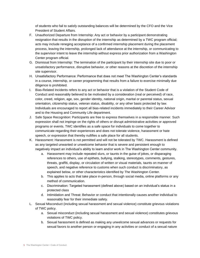of students who fail to satisfy outstanding balances will be determined by the CFO and the Vice President of Student Affairs.

- F. Unauthorized Departure from Internship: Any act or behavior by a participant demonstrating resignation that results in the disruption of the internship as determined by a TWC program official; acts may include reneging acceptance of a confirmed internship placement during the placement process, leaving the internship, prolonged lack of attendance at the internship, or communicating to the supervisor intent to leave the internship without express prior authorization from a Washington Center program official.
- G. Dismissal from Internship: The termination of the participant by their internship site due to poor or unsatisfactory performance, disruptive behavior, or other reasons at the discretion of the internship site supervisor.
- H. Unsatisfactory Performance: Performance that does not meet The Washington Center's standards in a course, internship, or career programming that results from a failure to exercise minimally due diligence is prohibited.
- I. Bias-Related Incidents refers to any act or behavior that is a violation of the Student Code of Conduct and reasonably believed to be motivated by a consideration (real or perceived) of race, color, creed, religion, age, sex, gender identity, national origin, marital or parental status, sexual orientation, citizenship status, veteran status, disability, or any other basis protected by law. Individuals are encouraged to report all bias-related incidents immediately to their Career Advisor and to the Housing and Community Life department.
- J. Safe Space Recognition: Participants are free to express themselves in a responsible manner. Such expression shall not impinge on the rights of others or disrupt administrative activities or approved programs or events. TWC identifies as a safe space for individuals to come together to communicate regarding their experiences and does not tolerate violence, harassment or hate speech, or expression that thereby nullifies a safe place for all students.
- K. Harassment: Harassment is not permitted and will not be tolerated by TWC. Harassment is defined as any targeted unwanted or unwelcome behavior that is severe and persistent enough to negatively impact an individual's ability to learn and/or work in The Washington Center community.
	- a. Harassment may include repeated slurs, or taunts in the guise of jokes, or disparaging references to others, use of epithets, bullying, stalking, stereotypes, comments, gestures, threats, graffiti, display, or circulation of written or visual materials, taunts on manner of speech, and negative reference to customs when such conduct is discriminatory, as explained below, or other characteristics identified by The Washington Center.
	- b. This applies to acts that take place in-person, through social media, online platforms or any method of communication.
	- c. Discrimination: Targeted harassment (defined above) based on an individual's status in a protected class
	- d. Intimidation and Threat: Behavior or conduct that intentionally causes another individual to reasonably fear for their immediate safety.
- L. Sexual Misconduct (including sexual harassment and sexual violence) constitute grievous violations of TWC policy.
	- a. Sexual misconduct (including sexual harassment and sexual violence) constitutes grievous violations of TWC policy.
	- b. Sexual harassment is defined as making any unwelcome sexual advances or requests for sexual favors to another person or engaging in any activities or conduct of a sexual nature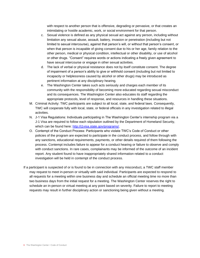with respect to another person that is offensive, degrading or pervasive, or that creates an intimidating or hostile academic, work, or social environment for that person.

- c. Sexual violence is defined as any physical sexual act against any person, including without limitation any sexual abuse, assault, battery, invasion or penetration (including but not limited to sexual intercourse), against that person's will, or without that person's consent, or when that person is incapable of giving consent due to his or her age, family relation to the other person, medical or physical condition, intellectual or other disability, or use of alcohol or other drugs. "Consent" requires words or actions indicating a freely given agreement to have sexual intercourse or engage in other sexual activities.
- d. The lack of verbal or physical resistance does not by itself constitute consent. The degree of impairment of a person's ability to give or withhold consent (including but not limited to incapacity or helplessness caused by alcohol or other drugs) may be introduced as pertinent information at any disciplinary hearing.
- e. The Washington Center takes such acts seriously and charges each member of its community with the responsibility of becoming more educated regarding sexual misconduct and its consequences. The Washington Center also educates its staff regarding the appropriate protocols, level of response, and resources in handling these situations.
- M. Criminal Activity: TWC participants are subject to all local, state, and federal laws. Consequently, TWC will cooperate fully with local, state, or federal officials in any investigation related to illegal activities.
- N. J-1 Visa Regulations: Individuals participating in The Washington Center's internship program via a J-1 Visa are required to follow each stipulation outlined by the Department of Homeland Security, which can be found here: [http://j1visa.state.gov/programs/.](http://j1visa.state.gov/programs/)
- O. Contempt of the Conduct Process: Participants who violate TWC's Code of Conduct or other policies of the program are expected to participate in the conduct process, and follow through with any sanctions, educational requirements, payments, or other details required of them following the process. Contempt includes failure to appear for a conduct hearing or failure to observe and comply with conduct sanctions. In rare cases, complainants may be informed of the outcome of an incident report. Any student found to have inappropriately shared information related to a conduct investigation will be held in contempt of the conduct process.
- If a participant is suspected of or is found to be in connection with any misconduct, a TWC staff member may request to meet in-person or virtually with said individual. Participants are expected to respond to all requests for a meeting within one business day and schedule an official meeting time no more than two business days from the initial request for a meeting. The Washington Center reserves the right to schedule an in-person or virtual meeting at any point based on severity. Failure to report to meeting requests may result in further disciplinary action or sanctioning being given without a meeting.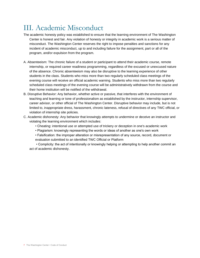### III. Academic Misconduct

- The academic honesty policy was established to ensure that the learning environment of The Washington Center is honest and fair. Any violation of honesty or integrity in academic work is a serious matter of misconduct. The Washington Center reserves the right to impose penalties and sanctions for any incident of academic misconduct, up to and including failure for the assignment, part or all of the program, and/or expulsion from the program.
- A. Absenteeism: The chronic failure of a student or participant to attend their academic course, remote internship, or required career readiness programming, regardless of the excused or unexcused nature of the absence. Chronic absenteeism may also be disruptive to the learning experience of other students in the class. Students who miss more than two regularly scheduled class meetings of the evening course will receive an official academic warning. Students who miss more than two regularly scheduled class meetings of the evening course will be administratively withdrawn from the course and their home institution will be notified of the withdrawal.
- B. Disruptive Behavior: Any behavior, whether active or passive, that interferes with the environment of teaching and learning or tone of professionalism as established by the instructor, internship supervisor, career advisor, or other official of The Washington Center. Disruptive behavior may include, but is not limited to, inappropriate dress, harassment, chronic lateness, refusal of directives of any TWC official, or violation of internship site policies.
- C. Academic dishonesty: Any behavior that knowingly attempts to undermine or deceive an instructor and violating the learning environment which includes:
	- Cheating: intentional use or attempted use of trickery or deception in one's academic work
	- Plagiarism: knowingly representing the words or ideas of another as one's own work
	- Falsification: the improper alteration or misrepresentation of any source, record, document or evaluation submitted to an identified TWC Official or Platform

• Complicity: the act of intentionally or knowingly helping or attempting to help another commit an act of academic dishonesty.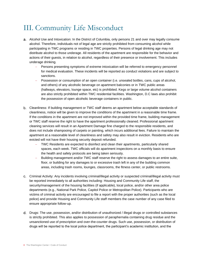### III. Community Life Misconduct

- Alcohol Use and Intoxication: In the District of Columbia, only persons 21 and over may legally consume alcohol. Therefore, individuals not of legal age are strictly prohibited from consuming alcohol while participating in TWC programs or residing in TWC properties. Persons of legal drinking age may not distribute alcohol to those underage. All residents of the apartment are responsible for the behavior and actions of their guests, in relation to alcohol, regardless of their presence or involvement. This includes underage drinking.
	- − Persons presenting symptoms of extreme intoxication will be referred to emergency personnel for medical evaluation. These incidents will be reported as conduct violations and are subject to sanctions.
	- − Possession or consumption of an open container (i.e. unsealed bottles, cans, cups of alcohol, and others) of any alcoholic beverage on apartment balconies or in TWC public areas (hallways, elevators, lounge space, etc) is prohibited. Kegs or large volume alcohol containers are also strictly prohibited within TWC residential facilities. Washington, D.C laws also prohibit the possession of open alcoholic beverage containers in public.
- Cleanliness: If building management or TWC staff deems an apartment below acceptable standards of cleanliness, notice will be given to improve the conditions of the apartment in a reasonable time frame. If the conditions in the apartment are not improved within the provided time frame, building management or TWC staff reserve the right to have the apartment professionally cleaned. Professional apartment cleaning services will result in an Apartment Damage fine charged to the responsible residents, and does not include shampooing of carpets or painting, which incurs additional fees. Failure to maintain the apartment at a reasonable level of cleanliness and safety may also result in eviction. Residents who are evicted will not have their housing security deposit refunded.
	- − TWC Residents are expected to disinfect and clean their apartments, particularly shared spaces, each week. TWC officials will do apartment inspections on a monthly basis to ensure the health and safety protocols are being taken seriously.
	- − Building management and/or TWC staff reserve the right to assess damages to an entire suite, floor, or building for any damages to or excessive trash left in any of the building common areas, including trash rooms, lounges, classrooms, the fitness center, or public restrooms.
- Criminal Activity: Any incidents involving criminal/illegal activity or suspected criminal/illegal activity must be reported immediately to all authorities including: Housing and Community Life staff, the security/management of the housing facilities (if applicable), local police, and/or other area police departments (e.g., National Park Police, Capitol Police or Metropolitan Police). Participants who are victims of criminal activity are encouraged to file a report with the proper authorities (such as the local police) and provide Housing and Community Life staff members the case number of any case filed to ensure appropriate follow-up.
- Drugs: The use, possession, and/or distribution of unauthorized / illegal drugs or controlled substances is strictly prohibited. This also applies to possession of paraphernalia containing drug residue and the unsanctioned use of prescription and over-the-counter drugs. Such use, possession, or distribution of drugs will be reported to the local police department, the participant's academic institution, and the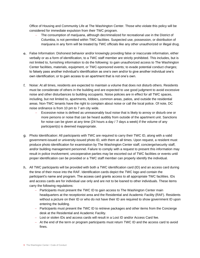Office of Housing and Community Life at The Washington Center. Those who violate this policy will be considered for immediate expulsion from their TWC program.

- − The consumption of marijuana, although decriminalized for recreational use in the District of Columbia, is not permitted within TWC facilities. Suspected use, possession, or distribution of marijuana in any form will be treated by TWC officials like any other unauthorized or illegal drug.
- False Information: Dishonest behavior and/or knowingly providing false or inaccurate information, either verbally or as a form of identification, to a TWC staff member are strictly prohibited. This includes, but is not limited to, furnishing information to do the following: to gain unauthorized access to The Washington Center facilities, materials, equipment, or TWC-sponsored events; to evade potential conduct charges; to falsely pass another individual's identification as one's own and/or to give another individual one's own identification; or to gain access to an apartment that is not one's own.
- Noise: At all times, residents are expected to maintain a volume that does not disturb others. Residents must be considerate of others in the building and are expected to use good judgment to avoid excessive noise and other disturbances to building occupants. Noise policies are in effect for all TWC spaces, including, but not limited to, apartments, lobbies, common areas, patios, and outside the residential areas. Non-TWC tenants have the right to complain about noise or call the local police. Of note, DC noise ordinance is from 10 pm to 7 am city wide.
	- − Excessive noise is defined as unreasonably loud noise that is likely to annoy or disturb one or more persons or noise that can be heard audibly from outside of the apartment unit. Sanctions for noise can be given at any time (24 hours a day / 7 days a week) if the volume of any participant(s) is deemed inappropriate.
- Photo Identification: All participants with TWC are required to carry their TWC ID, along with a valid government-issued or university-issued photo ID, with them at all times. Upon request, a resident must produce photo identification for examination by The Washington Center staff, concierge/security staff, and/or building management personnel. Failure to comply with a request to present this information may result in police involvement; uncooperative parties may be escorted out of TWC facilities or events until proper identification can be provided or a TWC staff member can properly identify the individual.
- All TWC participants will be provided with both a TWC identification card (ID) and an access card during the time of their move into the RAF. Identification cards depict the TWC logo and contain the participant's name and program. The access card grants access to all appropriate TWC facilities. IDs and access cards are for individual use only and are not to be loaned to other individuals. These items carry the following regulations:
	- − Participants must present the TWC ID to gain access to The Washington Center main headquarters at the receptionist area and the Residential and Academic Facility (RAF). Residents without a picture on their ID or who do not have their ID are required to show government ID upon entering the building.
	- − Participants must present the TWC ID to retrieve packages and other items from the Concierge desk at the Residential and Academic Facility.
	- − Lost or stolen IDs and access cards will result in a Lost ID and/or Access Card fee.
	- − At the end of the term or program participants must return TWC ID and the access card to avoid fines.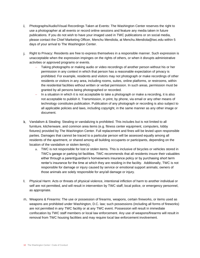- Photographs/Audio/Visual Recordings Taken at Events: The Washington Center reserves the right to use a photographer at all events or record online sessions and feature any media taken in future publications. If you do not wish to have your imaged used in TWC publications or on social media, please contact the Chief Marketing Officer, Menchu Mendiola, at Menchu.Mendiola@twc.edu within 5 days of your arrival to The Washington Center.
- Right to Privacy: Residents are free to express themselves in a responsible manner. Such expression is unacceptable when the expression impinges on the rights of others, or when it disrupts administrative activities or approved programs or events.
	- − Taking photographs or making audio or video recordings of another person without his or her permission in any context in which that person has a reasonable expectation of privacy is prohibited. For example, residents and visitors may not photograph or make recordings of other residents or visitors in any area, including rooms, suites, online platforms, or restrooms, within the residential facilities without written or verbal permission. In such areas, permission must be granted by all persons being photographed or recorded.
	- − In a situation in which it is not acceptable to take a photograph or make a recording, it is also not acceptable to publish it. Transmission, in print, by phone, via email or any other means of technology constitutes publication. Publication of any photograph or recording is also subject to all applicable policies and laws, including copyright, in the same manner as any other image or document.
- Vandalism & Stealing: Stealing or vandalizing is prohibited. This includes but is not limited to all furniture, kitchenware, and common area items (e.g. fitness center equipment, computers, lobby fixtures) provided by The Washington Center. Full replacement and fines will be levied upon responsible parties. Damages that cannot be traced to a particular person will be assessed equally among all residents of the apartment, or shared among all building occupants or participants, depending on the location of the vandalism or stolen item(s).
	- a. TWC is not responsible for lost or stolen items. This is inclusive of bicycles or vehicles stored in TWC's garage or parking lot facilities. TWC recommends that all residents insure their valuables either through a parent/guardian's homeowners insurance policy or by purchasing short term renter's insurance for the time at which they are residing in the facility. Additionally, TWC is not responsible for damage or injury caused by service or emotional support animals; owners of those animals are solely responsible for any/all damage or injury.
- Physical Harm: Acts or threats of physical violence, intentional infliction of harm to another individual or self are not permitted, and will result in intervention by TWC staff, local police, or emergency personnel, as appropriate.
- m. Weapons & Firearms: The use or possession of firearms, weapons, certain fireworks, or items used as weapons are prohibited under Washington, D.C. law; such possessions (including all forms of fireworks) are not permitted in any TWC facility or at any TWC event. Possession will result in immediate confiscation by TWC staff members or local law enforcement. Any use of weapons/firearms will result in removal from TWC housing facilities and may require local law enforcement involvement.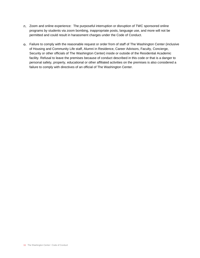- n. Zoom and online experience: The purposeful interruption or disruption of TWC sponsored online programs by students via zoom bombing, inappropriate posts, language use, and more will not be permitted and could result in harassment charges under the Code of Conduct.
- Failure to comply with the reasonable request or order from of staff of The Washington Center (inclusive of Housing and Community Life staff, Alumni in Residence, Career Advisors, Faculty, Concierge, Security or other officials of The Washington Center) inside or outside of the Residential Academic facility. Refusal to leave the premises because of conduct described in this code or that is a danger to personal safety, property, educational or other affiliated activities on the premises is also considered a failure to comply with directives of an official of The Washington Center.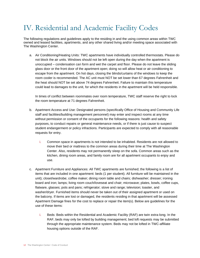# IV. Residential and Academic Facility Codes

The following regulations and guidelines apply to the residing in and the using common areas within TWC owned and leased facilities, apartments, and any other shared living and/or meeting space associated with The Washington Center.

a. Air Conditioning/Heating Units: TWC apartments have individually controlled thermostats. Please do not block the air units. Windows should not be left open during the day when the apartment is unoccupied – condensation can form and wet the carpet and floor. Please do not leave the sliding glass door or the front door of the apartment open; doing so will allow heat or air conditioning to escape from the apartment. On hot days, closing the blinds/curtains of the windows to keep the room cooler is recommended. The AC unit must NOT be set lower than 67 degrees Fahrenheit and the heat should NOT be set above 74 degrees Fahrenheit. Failure to maintain this temperature could lead to damages to the unit, for which the residents in the apartment will be held responsible.

In times of conflict between roommates over room temperature, TWC staff reserve the right to lock the room temperature at 71 degrees Fahrenheit.

- b. Apartment Access and Use: Designated persons (specifically Office of Housing and Community Life staff and facilities/building management personnel) may enter and inspect rooms at any time without permission or consent of the occupants for the following reasons: health and safety purposes, to conduct repairs or general maintenance needs, or if there is just cause to suspect student endangerment or policy infractions. Participants are expected to comply with all reasonable requests for entry.
	- i. Common space in apartments is not intended to be inhabited. Residents are not allowed to move their bed or mattress to the common areas during their time at The Washington Center. Also, residents may not permanently sleep on the sofa. Common areas such as the kitchen, dining room areas, and family room are for all apartment occupants to enjoy and use.
- c. Apartment Furniture and Appliances: All TWC apartments are furnished; the following is a list of items that are included in one apartment: beds (1 per student). All furniture will be maintained in the unit); closet/wardrobe; coffee maker; dining room table and chairs; dishwasher; dresser; ironing board and iron; lamps; living room couch/loveseat and chair; microwave; plates, bowls, coffee cups, flatware, glasses; pots and pans; refrigerator; stove and range; television; toaster, and washer/dryer. Furnished items should never be taken out of their assigned apartment or used on the balcony. If items are lost or damaged, the residents residing in that apartment will be assessed Apartment Damage fines for the cost to replace or repair the item(s). Below are guidelines for the use of these items:
	- i. Beds: Beds within the Residential and Academic Facility (RAF) are twin extra-long. In the RAF, beds may only be lofted by building management; bed loft requests may be submitted through the appropriate maintenance system. Beds may not be lofted in TWC-affiliate housing options outside of the RAF.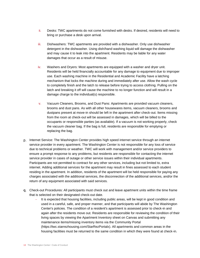- ii. Desks: TWC apartments do not come furnished with desks. If desired, residents will need to bring or purchase a desk upon arrival.
- iii. Dishwashers: TWC apartments are provided with a dishwasher. Only use dishwasher detergent in the dishwasher. Using dish/hand washing liquid will damage the dishwasher and may cause it to leak into the apartment. Residents may be liable for any water damages that occur as a result of misuse.
- iv. Washers and Dryers: Most apartments are equipped with a washer and dryer unit. Residents will be held financially accountable for any damage to equipment due to improper use. Each washing machine in the Residential and Academic Facility have a latching mechanism that locks the machine during and immediately after use. Allow the wash cycle to completely finish and the latch to release before trying to access clothing. Pulling on the latch and breaking it off will cause the machine to no longer function and will result in a damage charge to the individual(s) responsible.
- v. Vacuum Cleaners, Brooms, and Dust Pans: Apartments are provided vacuum cleaners, brooms and dust pans. As with all other housewares items, vacuum cleaners, brooms and dustpans present at move-in should be left in the apartment after check-out. Items missing from the room at check-out will be assessed in damages, which will be billed to the occupants or responsible parties (as available). If a vacuum is not working properly, check the vacuum cleaner bag. If the bag is full, residents are responsible for emptying or replacing the bag.
- p. Internet Service: The Washington Center provides high speed internet service through an internet service provider in every apartment. The Washington Center is not responsible for any loss of service due to technical problems or weather. TWC will work with management and/or service providers to ensure a prompt response to any problems, but residents are responsible for contacting the internet service provider in cases of outage or other service issues within their individual apartments. Participants are not permitted to contract for any other services, including but not limited to, extra internet. Adding additional services for the apartment may result in fines assessed to each student residing in the apartment. In addition, residents of the apartment will be held responsible for paying any charges associated with the additional services, the disconnection of the additional services, and/or the return of any equipment associated with said services.
- Check-out Procedures: All participants must check out and leave apartment units within the time frame that is selected on their designated check-out date.
	- It is expected that housing facilities, including public areas, will be kept in good condition and used in a careful, safe, and proper manner, and that participants will abide by The Washington Center's policies. The condition of a resident's apartment is assessed prior to check-in and again after the residents move out. Residents are responsible for reviewing the condition of their living spaces by viewing the Apartment Inventory sheet on Canvas and submitting any maintenance items/missing inventory items via the Community Portal (https://twc.starrezhousing.com/StarRezPortalx). All apartments and common areas in the housing facilities must be returned to the same condition in which they were found at check-in.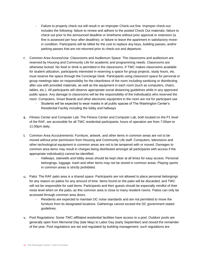- − Failure to properly check out will result in an Improper Check-out fine. Improper check-out includes the following: failure to review and adhere to the posted Check Out materials; failure to check out prior to the announced deadline or timeframe without prior approval or extension (a fine is assessed per hour after deadline); or failure to leave the apartment in satisfactory movein condition. Participants will be billed for the cost to replace any keys, building passes, and/or parking passes that are not returned prior to check-out and departure.
- Common Area Access/Use: Classrooms and Auditorium Space: The classrooms and auditorium are reserved by Housing and Community Life for academic and programming needs. Classrooms are otherwise locked. No food or drink is permitted in the classrooms. If TWC makes classrooms available for student utilization, participants interested in reserving a space for group projects, study hours, etc. must reserve the space through the Concierge Desk. Participants using classroom space for personal or group meetings take on responsibility for the cleanliness of the room including sanitizing or disinfecting after use with provided materials, as well as the equipment in each room (such as computers, chairs, tables, etc.). All participants will observe appropriate social distancing guidelines while in any approved public space. Any damage to classrooms will be the responsibility of the individual(s) who reserved the room. Computers, Smart Boards and other electronic equipment in the room are not for participant use
	- − Students will be expected to wear masks in all public spaces of The Washington Center's Residential Facility including the lobby and hallways
- Fitness Center and Computer Lab: The Fitness Center and Computer Lab, both located on the P1 level of the RAF, are accessible for all TWC residential participants; hours of operation are from 7:00am to 11:00pm daily.
- Common Area Accoutrements: Furniture, artwork, and other items in common areas are not to be moved without prior permission from Housing and Community Life staff. Computers, televisions and other technological equipment in common areas are not to be tampered with or moved. Damages to common area items may result in charges being distributed amongst all participants with access if the appropriate individual(s) cannot be identified.
	- − Hallways, stairwells and lobby areas should be kept clear at all times for easy access. Personal belongings, luggage, trash and other items may not be stored in common areas. Playing sports in common areas is strictly prohibited.
- Patio: The RAF patio area is a shared space. Participants are not allowed to place personal belongings for any reason on patios for any amount of time. Items found on the patio will be discarded, and TWC will not be responsible for said items. Participants and their guests should be especially mindful of their noise level when on the patio, as this common area is close to many resident rooms. Patios can only be accessed through common area doors.
	- − Residents are expected to maintain DC noise standards and are not permitted to move the furniture from its designated locations. Gatherings cannot exceed the DC government stated guidelines.
- Pool Regulations: Some TWC-affiliated residential facilities have access to a pool. Outdoor pools are generally open from Memorial Day (late May) to Labor Day (early September) and closed the remainder of the year. Pool regulations are set and regulated by building management; such regulations are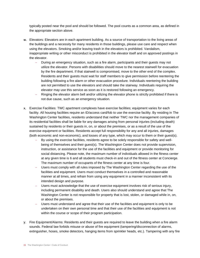typically posted near the pool and should be followed. The pool counts as a common area, as defined in the appropriate section above.

- Elevators: Elevators are in each apartment building. As a source of transportation to the living areas of the buildings and a necessity for many residents in those buildings, please use care and respect when using the elevators. Smoking and/or leaving trash in the elevators is prohibited. Vandalism, inappropriate writing or other misconduct is prohibited in the elevator itself and on approved postings in the elevator.
	- − During an emergency situation, such as a fire alarm, participants and their guests may not utilize the elevator. Persons with disabilities should move to the nearest stairwell for evacuation by the fire department. If that stairwell is compromised, move to the other end of the complex. Residents and their guests must wait for staff members to give permission before reentering the building following a fire alarm or other evacuation procedure. Individuals reentering the building are not permitted to use the elevators and should take the stairway. Individuals requiring the elevator may use this service as soon as it is restored following an emergency.
	- − Ringing the elevator alarm bell and/or utilizing the elevator phone is strictly prohibited if there is not due cause, such as an emergency situation.
- Exercise Facilities: TWC apartment complexes have exercise facilities; equipment varies for each facility. All housing facilities require an ID/access card/fob to use the exercise facility. By residing in The Washington Center facilities, residents understand that neither TWC nor the management companies of its residential facilities shall be liable for any damages arising from personal injuries (including death) sustained by residents or their guests in, on, or about the premises, or as a result of the use of the exercise equipment or facilities. Residents accept full responsibility for any and all injuries, damages (both economic and non-economic), and losses of any type, which may occur to them or their guest(s).
	- − By using the exercise facilities, residents agree to be solely responsible for safety and wellbeing of themselves and their guest(s). The Washington Center does not provide supervision, instruction, or assistance for the use of the facilities and equipment or provide monitoring for social distancing. Please note, the maximum number of individuals allowed in the fitness center at any given time is 6 and all students must check-in and out of the fitness center at Concierge. The maximum number of occupants of the fitness center at any time is four.
	- − Users must comply with all rules imposed by The Washington Center regarding the use of the facilities and equipment. Users must conduct themselves in a controlled and reasonable manner at all times, and refrain from using any equipment in a manner inconsistent with its intended design and purpose.
	- Users must acknowledge that the use of exercise equipment involves risk of serious injury, including permanent disability and death. Users also should understand and agree that The Washington Center is not responsible for property that is lost, stolen, or damaged while in, on, or about the premises.
	- Users must understand and agree that their use of the facilities and equipment is only to be undertaken on their own personal time and that their use of the facilities and equipment is not within the course or scope of their program participation.
- Fire Equipment/Alarms: Residents and their guests are required to leave the building when a fire alarm sounds. Federal law forbids misuse or abuse of fire equipment (tampering/disconnection of alarms, extinguisher, hoses, smoke detectors, hanging items from sprinkler heads, etc.). Tampering with any fire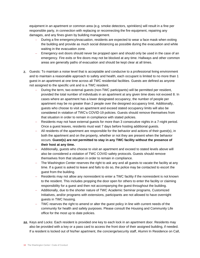equipment in an apartment or common area (e.g. smoke detectors, sprinklers) will result in a fine per responsible party, in connection with replacing or reconnecting the fire equipment, repairing any damages, and any fines given by building management.

- − During a fire emergency/evacuation, residents are expected to wear a face mask when exiting the building and provide as much social distancing as possible during the evacuation and while waiting in the evacuation zone.
- − Emergency exit doors should never be propped open and should only be used in the case of an emergency. Fire exits or fire doors may not be blocked at any time. Hallways and other common areas are generally paths of evacuation and should be kept clear at all times.
- Guests: To maintain a noise level that is acceptable and conducive to a professional living environment and to maintain a reasonable approach to safety and health, each occupant is limited to no more than 1 guest in an apartment at one time across all TWC residential facilities. Guests are defined as anyone not assigned to the specific unit and is a TWC resident.
	- During the term, two external guests (non-TWC participants) will be permitted per resident, provided the total number of individuals in an apartment at any given time does not exceed 8. In cases where an apartment has a lower designated occupancy, the number of people per apartment may be no greater than 2 people over the designed occupancy limit. Additionally, guests who choose to visit an apartment and exceed stated occupancy limits will also be considered in violation of TWC's COVID-19 policies. Guests should remove themselves from that situation in order to remain in compliance with stated policies.
	- − Residents may not have external guests for more than 3 consecutive nights in a 7-night period. Once a guest leaves, residents must wait 7 days before hosting additional guests.
	- All residents of the apartment are responsible for the behavior and actions of their guest(s), in both the apartment and on the property, whether or not they are present when the behavior occurs. **Guest(s) are not permitted to stay in any TWC facility without the presence of their host at any time.**
	- − Additionally, guests who choose to visit an apartment and exceed to stated levels above will also be considered a violation of TWC COVID safety protocols. Guests should remove themselves from that situation in order to remain in compliance.
	- The Washington Center reserves the right to ask any and all guests to vacate the facility at any time. If a guest is asked to leave and fails to do so, the police may be contacted to escort the guest from the building.
	- − Residents may not allow any nonresident to enter a TWC facility if the nonresident is not known to the resident. This includes propping the door open for others to enter the facility or claiming responsibility for a guest and then not accompanying the guest throughout the building.
	- − Additionally, due to the shorter nature of TWC Academic Seminar programs, Customized Initiatives, and/or programs with extensions, participants are not allowed to have overnight guests in TWC housing.
	- TWC reserves the right to amend or alter the guest policy in line with current needs of the community for health and safety purposes. Please consult the Housing and Community Life office for the most up to date policies.
- aa. Keys and Locks: Each resident is provided one key to each lock in an apartment door. Residents may also be provided with a key or a pass card to access the front door of their assigned building, if needed. If a resident is locked out of his/her apartment, the concierge/security staff, Alumni In Residence on Call,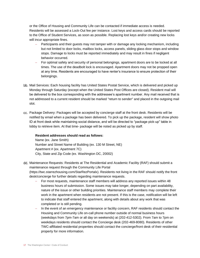or the Office of Housing and Community Life can be contacted if immediate access is needed. Residents will be assessed a Lock-Out fee per instance. Lost keys and access cards should be reported to the Office of Student Services, as soon as possible. Replacing lost keys and/or creating new locks will incur appropriate fines.

- Participants and their guests may not tamper with or damage any locking mechanism, including but not limited to door locks, mailbox locks, access panels, sliding glass door stops and window stops. Damage to locks must be reported immediately and may result in fines if negligent behavior occurred.
- For optimal safety and security of personal belongings, apartment doors are to be locked at all times. The use of the deadbolt lock is encouraged. Apartment doors may not be propped open at any time. Residents are encouraged to have renter's insurance to ensure protection of their belongings.
- bb. Mail Services: Each housing facility has United States Postal Service, which is delivered and picked up Monday through Saturday (except when the United States Post Offices are closed). Resident mail will be delivered to the box corresponding with the addressee's apartment number. Any mail received that is not addressed to a current resident should be marked "return to sender" and placed in the outgoing mail slot.
- cc. Package Delivery: Packages will be accepted by concierge staff at the front desk. Residents will be notified by email when a package has been delivered. To pick up the package, resident will show photo ID at front desk while maintaining social distance, and will be directed to "package pick-up" table in lobby to retrieve item. At that time- package will be noted as picked up by staff.

#### **Resident addresses should read as follows:**

Name (ex. Jane Smith) Number and Street Name of Building (ex. 130 M Street, NE) Apartment # (ex. Apartment 7C) City, State and Zip Code (ex. Washington DC, 20002)

- dd. Maintenance Requests: Residents at The Residential and Academic Facility (RAF) should submit a maintenance request through the Community Life Portal (https://twc.starrezhousing.com/StarRezPortalx). Residents not living in the RAF should notify the front desk/concierge for further details regarding maintenance requests.
	- − For most requests, maintenance staff members will address any reported issues within 48 business hours of submission. Some issues may take longer, depending on part availability, nature of the issue or other building priorities. Maintenance staff members may complete their work in the apartment when residents are not present. If this is the case, notification will be left to indicate that staff entered the apartment, along with details about any work that was completed or is still pending.
	- − In the event of an emergency maintenance or facility concern, RAF residents should contact the Housing and Community Life on-call phone number outside of normal business hours (weekdays from 7pm-7am or all day on weekends) at (202-412-5302). From 7am to 7pm on weekdays residents should contact the Concierge desk (202-469-8080). Residents of other TWC-affiliated residential properties should contact the concierge/front desk of their residential property for more information.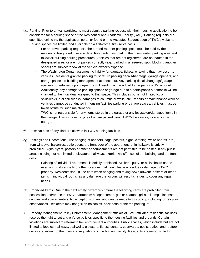- ee. Parking: Prior to arrival, participants must submit a parking request with their housing application to be considered for a parking space at the Residential and Academic Facility (RAF). Parking requests are submitted online via the application portal or found on the Accepted Student page of TWC's website. Parking spaces are limited and available on a first-come, first-serve basis.
	- − For approved parking requests, the termed rate per parking space must be paid by the resident's designated check-in date. Residents must park in their designated parking area and follow all building parking procedures. Vehicles that are not registered, are not parked in the designated area, or are not parked correctly (e.g., parked in a reserved spot, blocking another space) are subject to tow at the vehicle owner's expense.
	- The Washington Center assumes no liability for damage, tickets, or towing that may occur to vehicles. Residents granted parking must return parking decals/hangtags, garage openers, and garage passes to building management at check-out. Any parking decals/hangtags/garage openers not returned upon departure will result in a fine added to the participant's account.
	- − Additionally, any damage to parking spaces or garage due to a participant's automobile will be charged to the individual assigned to that space. This includes but is not limited to: oil spills/leaks, fuel spills/leaks, damages to columns or walls, etc. Repairs or maintenance work on vehicles cannot be conducted in housing facilities parking or garage spaces; vehicles must be taken offsite for such maintenance.
	- TWC is not responsible for any items stored in the garage or any lost/stolen/damaged items in the garage. This includes bicycles that are parked using TWC's bike racks, located in the garage.
- ff. Pets: No pets of any kind are allowed in TWC housing facilities.
- Postings and Decorations: The hanging of banners, flags, posters, signs, clothing, white boards, etc., from windows, balconies, patio doors, the front door of the apartment, or in hallways is strictly prohibited. Signs, flyers, posters or other announcements are not permitted to be posted in any public area, including but not limited to elevators, hallways, exterior walls/fences of the building, and the front desk.
	- Painting of individual apartments is strictly prohibited. Stickers, putty, or nails should not be used on furniture, walls or other locations that would leave a residue or damage to TWC property. Residents should use care when hanging and taking down artwork, posters or other items in individual rooms, as any damage that occurs will result charges to cover any repair needs.
- hh. Prohibited Items: Due to their extremely hazardous nature the following items are prohibited from possession and/or use in TWC apartments: halogen lamps, gas or charcoal grills, oil lamps, incense, candles and space heaters. No exceptions of any kind can be made to this policy, including for religious observances. Residents may not grill on balconies, back patio or the top parking lot.
- ii. Property Management Policy Enforcement: Management officials of TWC-affiliated residential facilities reserve the right to set and enforce policies specific to the housing facilities and grounds. Certain violations are subject to referral to law enforcement authorities. Public spaces, which include but are not limited to lobbies, hallways, stairwells, elevators, fitness centers, courtyards, pools, patios, and rooftop decks are subject to the rules and regulations of the housing facility. Residents are responsible for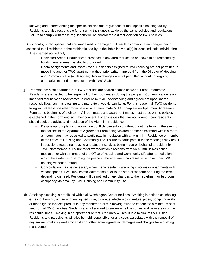knowing and understanding the specific policies and regulations of their specific housing facility. Residents are also responsible for ensuring their guests abide by the same policies and regulations. Failure to comply with these regulations will be considered a direct violation of TWC policies.

Additionally, public spaces that are vandalized or damaged will result in common area charges being assessed to all residents in that residential facility. If the liable individual(s) is identified, said individual(s) will be charged accordingly.

- − Restricted Areas: Unauthorized presence in any area marked as or known to be restricted by building management is strictly prohibited.
- − Room Assignments and Room Swap: Residents assigned to TWC housing are not permitted to move into another TWC apartment without prior written approval from the Director of Housing and Community Life (or designee). Room changes are not permitted without undergoing alternative methods of resolution with TWC Staff.
- ji. Roommates: Most apartments in TWC facilities are shared spaces between 1 other roommate. Residents are expected to be respectful to their roommates during the program. Communication is an important tool between roommates to ensure mutual understanding and agreement upon shared responsibilities, such as cleaning and mandatory weekly sanitizing. For this reason, all TWC residents living with at least one other roommate or apartment mate MUST complete an Apartment Agreement Form at the beginning of their term. All roommates and apartment mates must agree on the policies established in the Form and sign their consent. For any issues that are not agreed upon, residents should seek the advice and mediation of the Alumni in Residence.
	- − Despite upfront planning, roommate conflicts can still occur throughout the term. In the event of the policies in the Apartment Agreement Form being violated or other discomfort within a room, all roommates may be asked to participate in mediation with an Alumni in Residence or member of the Office of Housing and Community Life. Failure to participate in these meetings may result in decisions regarding housing and student services being made on behalf of a resident by TWC staff members. Failure to follow mediation directions from an Alumni in Residence mediation or with a member of the Office of Housing and Community Life after a mediation which the student is disturbing the peace in the apartment can result in removal from TWC housing without a refund.
	- Consolidation may be necessary when many residents are living in rooms or apartments with vacant spaces. TWC may consolidate rooms prior to the start of the term or during the term, depending on need. Residents will be notified of any changes to their apartment or bedroom occupancy via email by TWC Housing and Community Life.
- kk. Smoking: Smoking is prohibited within all Washington Center facilities. Smoking is defined as inhaling, exhaling, burning, or carrying any lighted cigar, cigarette, electronic cigarettes, pipes, bongs, hookahs, or other lighted tobacco product in any manner or form. Smoking must be conducted a minimum of 50 feet from all TWC facilities. Students are not allowed to smoke on all balconies and patio areas of the residential units. Smoking in an apartment or restricted area will result in a minimum \$50.00 fine. Residents and participants will also be held responsible for any costs associated with the removal of any smoke smells, cigarette/cigar litter or other smoking-related damages and charges from building management.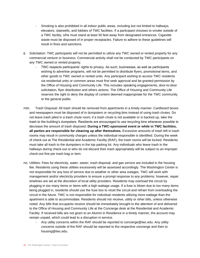- − Smoking is also prohibited in all indoor public areas, including but not limited to hallways, elevators, stairwells, and lobbies of TWC facilities. If a participant chooses to smoke outside of a TWC facility, s/he must stand at least 50 feet away from designated entrances. Cigarette waste must be disposed of in proper receptacles. Failure to adhere to these guidelines will result in fines and sanctions.
- II. Solicitation: TWC participants will not be permitted to utilize any TWC owned or rented property for any commercial venture or business. Commercial activity shall not be conducted by TWC participants on any TWC owned or rented property.
	- − TWC respects participants' rights to privacy. As such, businesses, as well as participants wishing to advertise programs, will not be permitted to distribute flyers, promotional items, and other goods to TWC owned or rented units. Any participant wishing to access TWC residents via residential units or common areas must first seek approval and be granted permission by the Office of Housing and Community Life. This includes speaking engagements, door-to-door solicitation, flyer distribution and others actions. The Office of Housing and Community Life reserves the right to deny the display of content deemed inappropriate for the TWC community or the general public.
- Trash Disposal: All trash should be removed from apartments in a timely manner. Cardboard boxes mm. and newspapers must be disposed of in dumpsters or recycling bins instead of using trash chutes. Do not leave trash piled in a trash chute room; if a trash chute is not available or is backed up, take the trash to the building's dumpsters. Residents are encouraged to use recycling bins whenever possible to decrease the amount of trash disposed. **During a TWC-sponsored event or while in TWC facilities, all parties are responsible for cleaning up after themselves.** Excessive amounts of trash left in trash rooms may result in community charges unless the individual responsible is identified. During the week of check-out at The Residential and Academic Facility (RAF), the trash rooms will be locked. Residents must take all trash to the dumpsters in the top parking lot. Any individuals who leave trash in the hallways during check-out or who do not discard their trash appropriately will be subject to an improper check-out fine per trash bag or item.
- Utilities: Fees for electricity, water, sewer, trash disposal, and gas service are included in the housing fee. Residents using these utilities excessively will be assessed accordingly. The Washington Center is not responsible for any loss of service due to weather or other area outages. TWC will work with management and/or electricity providers to ensure a prompt response to any problems; however, repair timelines are set at the discretion of local utility providers. Residents may overload the circuit by plugging in too many items or items with a high wattage usage. If a fuse is blown due to too many items being plugged in, residents should use the fuse box to reset the circuit and refrain from overloading the circuit in the future. TWC is not responsible for individual residents utilizing more wattage than the apartment is able to accommodate. Residents should not receive, utility or other bills, unless otherwise noted. Any bills that occupants receive should be immediately brought to the attention of and delivered to the Office of Housing and Community Life at the Concierge desk at the Residential and Academic Facility. If received bills are not given to an Alumni in Residence in a timely manner, the account may remain unpaid, which could lead to a disruption in service.
	- − Any utility concerns within the RAF should be reported to concierge@twc.edu. Any utility concerns outside of the RAF should be reported to the respective concierge and then to housing@twc.edu.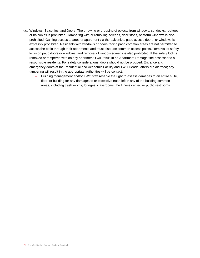- oo. Windows, Balconies, and Doors: The throwing or dropping of objects from windows, sundecks, rooftops or balconies is prohibited. Tampering with or removing screens, door stops, or storm windows is also prohibited. Gaining access to another apartment via the balconies, patio access doors, or windows is expressly prohibited. Residents with windows or doors facing patio common areas are not permitted to access the patio through their apartments and must also use common access points. Removal of safety locks on patio doors or windows, and removal of window screens is also prohibited. If the safety lock is removed or tampered with on any apartment it will result in an Apartment Damage fine assessed to all responsible residents. For safety considerations, doors should not be propped. Entrance and emergency doors at the Residential and Academic Facility and TWC Headquarters are alarmed; any tampering will result in the appropriate authorities will be contact.
	- − Building management and/or TWC staff reserve the right to assess damages to an entire suite, floor, or building for any damages to or excessive trash left in any of the building common areas, including trash rooms, lounges, classrooms, the fitness center, or public restrooms.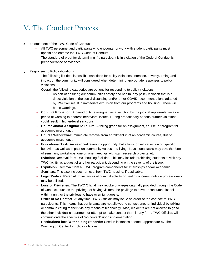### V. The Conduct Process

- Enforcement of the TWC Code of Conduct
	- − All TWC personnel and participants who encounter or work with student participants must uphold and enforce the TWC Code of Conduct.
	- − The standard of proof for determining if a participant is in violation of the Code of Conduct is preponderance of evidence.
- b. Responses to Policy Violations
	- The following list details possible sanctions for policy violations. Intention, severity, timing and impact on the community will considered when determining appropriate responses to policy violations.
	- − Overall, the following categories are options for responding to policy violations:
		- As part of ensuring our communities safety and health, any policy violation that is a direct violation of the social distancing and/or other COVID recommendations adapted by TWC will result in immediate expulsion from our programs and housing. There will be no warnings.
	- − **Conduct Probation:** A period of time assigned as a sanction by the judicial representative as a period of warning to address behavioral issues. During probationary periods, further violations could result in higher-level sanctions.
	- − **Course and/or Assignment Failure:** A failing grade for an assignment, course, or program for academic misconduct.
	- − **Course Withdrawal:** Immediate removal from enrollment in of an academic course, due to academic misconduct.
	- − **Educational Task:** An assigned learning opportunity that allows for self-reflection on specific behavior, as well as impact on community values and living. Educational tasks may take the form of seminars, workshops, one on one meetings with staff, research projects, etc…
	- **Eviction:** Removal from TWC housing facilities. This may include prohibiting students to visit any TWC facility as a guest of another participant, depending on the severity of the issue.
	- − **Expulsion:** Removal from all TWC program components for Internships and/or Academic Seminars. This also includes removal from TWC housing, if applicable.
	- − **Legal/Medical Referral:** In instances of criminal activity or health concerns, outside professionals may be utilized.
	- − **Loss of Privileges:** The TWC Official may revoke privileges originally provided through the Code of Conduct, such as the privilege of having visitors, the privilege to have or consume alcohol within a unit, or the privilege to have overnight guests.
	- **Order of No Contact:** At any time, TWC Officials may issue an order of "no contact" to TWC participants. This means that participants are not allowed to contact another individual by talking or communicating to them via any means of technology. Also, residents are not allowed to go to the other individual's apartment or attempt to make contact them in any form. TWC Officials will communicate the specifics of "no contact" upon implementation.
	- − **Restitution/Fines/Withholding Stipends:** Used in instances deemed appropriate by The Washington Center for policy violations.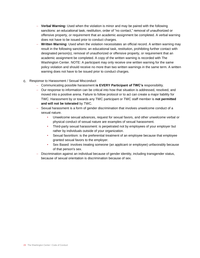- − **Verbal Warning:** Used when the violation is minor and may be paired with the following sanctions: an educational task, restitution, order of "no contact," removal of unauthorized or offensive property, or requirement that an academic assignment be completed. A verbal warning does not have to be issued prior to conduct charges.
- **Written Warning:** Used when the violation necessitates an official record. A written warning may result in the following sanctions: an educational task, restitution, prohibiting further contact with designated person(s), removal of unauthorized or offensive property, or requirement that an academic assignment be completed. A copy of the written warning is recorded with The Washington Center. NOTE: A participant may only receive one written warning for the same policy violation and should receive no more than two written warnings in the same term. A written warning does not have to be issued prior to conduct charges.
- Response to Harassment / Sexual Misconduct
	- − Communicating possible harassment **is EVERY Participant of TWC's** responsibility.
	- − Our response to information can be critical into how that situation is addressed, resolved, and moved into a positive arena. Failure to follow protocol or to act can create a major liability for TWC. Harassment by or towards any TWC participant or TWC staff member is **not permitted and will not be tolerated** by TWC.
	- − Sexual harassment is a form of gender discrimination that involves unwelcome conduct of a sexual nature.
		- Unwelcome sexual advances, request for sexual favors, and other unwelcome verbal or physical conduct of sexual nature are examples of sexual harassment.
		- Third-party sexual harassment: is perpetrated not by employees of your employer but rather by individuals outside of your organization.
		- Sexual favoritism: is the preferential treatment of an employee because that employee granted sexual favors to the employer.
		- Sex Based: involves treating someone (an applicant or employee) unfavorably because of that person's sex.
	- − Discrimination against an individual because of gender identity, including transgender status, because of sexual orientation is discrimination because of sex.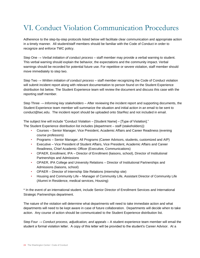### VI. Conduct Violation Communication Procedures

Adherence to the step-by-step protocols listed below will facilitate clear communication and appropriate action in a timely manner. All student/staff members should be familiar with the Code of Conduct in order to recognize and enforce TWC policy.

Step One → *Verbal initiation of conduct process* – staff member may provide a verbal warning to student. This verbal warning should explain the behavior, the expectations and the community impact. Verbal warnings should be recorded for potential future use. For repetitive or severe violation, staff member should move immediately to step two.

Step Two → *Written initiation of conduct process* – staff member recognizing the Code of Conduct violation will submit incident report along with relevant documentation to person found on the Student Experience distribution list below. The Student Experience team will review the document and discuss this case with the reporting staff member.

Step Three → *Informing key stakeholders* – After reviewing the incident report and supporting documents, the Student Experience team member will summarize the situation and initial action in an email to be sent to conduct@twc.edu. The incident report should be uploaded onto StarRez and not included in email.

The subject line will include "Conduct Violation – [Student Name] – [Type of Violation]." The Student Experience distribution list includes {department – staff (stakeholders)}:

- Courses Senior Manager, Vice President, Academic Affairs and Career Readiness (evening course professors)
- Programs Senior Manager, All Programs (Career Advisors, students, customized and AIP)
- Executive Vice President of Student Affairs, Vice President, Academic Affairs and Career Readiness, Chief Academic Officer (Executive, Communications)
- OPAER, Enrollment, IPA Director of Enrollment (liaisons, school), Director of Institutional Partnerships and Admissions
- OPAER, IPA College and University Relations Director of Institutional Partnerships and Admissions (liaisons, school)
- OPAER Director of Internship Site Relations (internship site)
- Housing and Community Life Manager of Community Life, Assistant Director of Community Life (Alumni in Residence, medical services, Housing)

\* In the event of an international student, include Senior Director of Enrollment Services and International Strategic Partnerships department.

The nature of the violation will determine what departments will need to take immediate action and what departments will need to be kept aware in case of future collaboration. Departments will decide when to take action. Any course of action should be communicated to the Student Experience distribution list.

Step Four → *Conduct process, adjudication, and appeals* – A student experience team member will email the student a formal violation letter. A copy of this letter will be provided to the student's Career Advisor. At a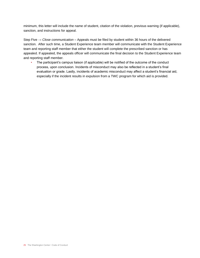minimum, this letter will include the name of student, citation of the violation, previous warning (if applicable), sanction, and instructions for appeal.

Step Five → *Close communication* – Appeals must be filed by student within 36 hours of the delivered sanction. After such time, a Student Experience team member will communicate with the Student Experience team and reporting staff member that either the student will complete the prescribed sanction or has appealed. If appealed, the appeals officer will communicate the final decision to the Student Experience team and reporting staff member.

• The participant's campus liaison (if applicable) will be notified of the outcome of the conduct process, upon conclusion. Incidents of misconduct may also be reflected in a student's final evaluation or grade. Lastly, incidents of academic misconduct may affect a student's financial aid, especially if the incident results in expulsion from a TWC program for which aid is provided.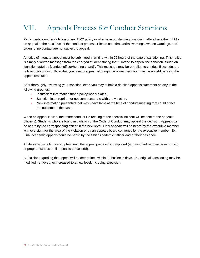# VII. Appeals Process for Conduct Sanctions

Participants found in violation of any TWC policy or who have outstanding financial matters have the right to an appeal to the next level of the conduct process. Please note that verbal warnings, written warnings, and orders of no contact are not subject to appeal.

A notice of intent to appeal must be submitted in writing within 72 hours of the date of sanctioning. This notice is simply a written message from the charged student stating that "I intend to appeal the sanction issued on [sanction date] by [conduct officer/hearing board]". This message may be e-mailed to conduct@twc.edu and notifies the conduct officer that you plan to appeal, although the issued sanction may be upheld pending the appeal resolution.

After thoroughly reviewing your sanction letter, you may submit a detailed appeals statement on any of the following grounds:

- Insufficient information that a policy was violated;
- Sanction inappropriate or not commensurate with the violation;
- New information presented that was unavailable at the time of conduct meeting that could affect the outcome of the case.

When an appeal is filed, the entire conduct file relating to the specific incident will be sent to the appeals officer(s). Students who are found in violation of the Code of Conduct may appeal the decision. Appeals will be heard by the corresponding officer in the next level. Final appeals will be heard by the executive member with oversight for the area of the violation or by an appeals board convened by the executive member. Ex. Final academic appeals could be heard by the Chief Academic Officer and/or their designee.

All delivered sanctions are upheld until the appeal process is completed (e.g. resident removal from housing or program stands until appeal is processed).

A decision regarding the appeal will be determined within 10 business days. The original sanctioning may be modified, removed, or increased to a new level, including expulsion.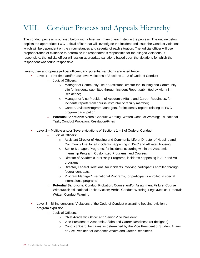# VIII. Conduct Process and Appeals Hierarchy

The conduct process is outlined below with a brief summary of each step in the process. The outline below depicts the appropriate TWC judicial officer that will investigate the incident and issue the Conduct violations, which will be dependent on the circumstances and severity of each situation. The judicial officer will use preponderance of evidence to determine if a respondent is responsible for the alleged violations. If responsible, the judicial officer will assign appropriate sanctions based upon the violations for which the respondent was found responsible.

Levels, their appropriate judicial officers, and potential sanctions are listed below:

- Level 1 First-time and/or Low-level violations of Sections 1 3 of Code of Conduct
	- Judicial Officers:
		- o Manager of Community Life or Assistant Director for Housing and Community Life for incidents submitted through Incident Report submitted by Alumni in Residence;
		- o Manager or Vice President of Academic Affairs and Career Readiness, for incidents/reports from course instructor or faculty member;
		- o Career Advisors/Program Managers, for incidents/ reports relating to TWC program participation
	- **Potential Sanctions:** Verbal Conduct Warning; Written Conduct Warning; Educational Task; Conduct Probation; Restitution/Fines
- Level 2 Multiple and/or Severe violations of Sections 1 3 of Code of Conduct
	- Judicial Officers:
		- o Assistant Director of Housing and Community Life or Director of Housing and Community Life, for all incidents happening in TWC and affiliated housing;
		- o Senior Manager, Programs, for incidents occurring within the Academic Internship Program, Customized Programs, and Courses
		- o Director of Academic Internship Programs, incidents happening in AIP and VIP programs
		- o Director, Federal Relations, for incidents involving participants enrolled through federal contracts;
		- o Program Manager/International Programs, for participants enrolled in special international programs
	- **Potential Sanctions:** Conduct Probation; Course and/or Assignment Failure; Course Withdrawal; Educational Task; Eviction; Verbal Conduct Warning; Legal/Medical Referral; Written Conduct Warning
- Level 3 Billing concerns; Violations of the Code of Conduct warranting housing eviction or program expulsion
	- Judicial Officers:
		- o Chief Academic Officer and Senior Vice President;
		- o Vice President of Academic Affairs and Career Readiness (or designee);
		- $\circ$  Conduct Board, for cases as determined by the Vice President of Student Affairs or Vice President of Academic Affairs and Career Readiness.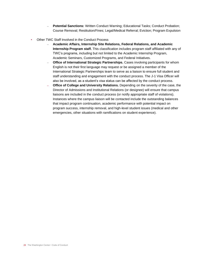- **Potential Sanctions:** Written Conduct Warning; Educational Tasks; Conduct Probation; Course Removal; Restitution/Fines; Legal/Medical Referral; Eviction; Program Expulsion
- Other TWC Staff Involved in the Conduct Process
	- **Academic Affairs, Internship Site Relations, Federal Relations, and Academic Internship Program staff.** This classification includes program staff affiliated with any of TWC's programs, including but not limited to the Academic Internship Program, Academic Seminars, Customized Programs, and Federal Initiatives.
	- **Office of International Strategic Partnerships.** Cases involving participants for whom English is not their first language may request or be assigned a member of the International Strategic Partnerships team to serve as a liaison to ensure full student and staff understanding and engagement with the conduct process. The J-1 Visa Officer will also be involved, as a student's visa status can be affected by the conduct process.
	- **Office of College and University Relations.** Depending on the severity of the case, the Director of Admissions and Institutional Relations (or designee) will ensure that campus liaisons are included in the conduct process (or notify appropriate staff of violations). Instances where the campus liaison will be contacted include the outstanding balances that impact program continuation, academic performance with potential impact on program success, internship removal, and high-level student issues (medical and other emergencies, other situations with ramifications on student experience).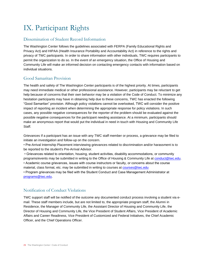### IX. Participant Rights

#### Dissemination of Student Record Information

The Washington Center follows the guidelines associated with FERPA (Family Educational Rights and Privacy Act) and HIPAA (Health Insurance Portability and Accountability Act) in reference to the rights and privacy of TWC participants. In order to share information with other individuals, TWC requires participants to permit the organization to do so. In the event of an emergency situation, the Office of Housing and Community Life will make an informed decision on contacting emergency contacts with information based on individual situations.

#### Good Samaritan Provision

The health and safety of The Washington Center participants is of the highest priority. At times, participants may need immediate medical or other professional assistance. However, participants may be reluctant to get help because of concerns that their own behavior may be a violation of the Code of Conduct. To minimize any hesitation participants may have in obtaining help due to these concerns, TWC has enacted the following "Good Samaritan" provision. Although policy violations cannot be overlooked, TWC will consider the positive impact of reporting an incident when determining the appropriate response for policy violations. In such cases, any possible negative consequences for the reporter of the problem should be evaluated against the possible negative consequences for the participant needing assistance. At a minimum, participants should make an anonymous report that would put the individual in need in touch with Housing and Community Life Staff.

Grievances If a participant has an issue with any TWC staff member or process, a grievance may be filed to initiate an investigation and follow-up on the concern.

• Pre-Arrival Internship Placement interviewing grievances related to discrimination and/or harassment is to be reported to the student's Pre-Arrival Advisor.

• Grievances related to orientation, housing, student activities, disability accommodations, or community programs/events may be submitted in writing to the Office of Housing & Community Life at [conduct@twc.edu.](mailto:conduct@twc.edu) • Academic course grievances, issues with course instructors or faculty, or concerns about the course material, class format, etc. may be submitted in writing to courses at [courses@twc.edu](mailto:courses@twc.edu)

• Program grievances may be filed with the Student Conduct and Case Management Administrator at [programs@twc.edu.](mailto:programs@twc.edu)

#### Notification of Conduct Violations

TWC support staff will be notified of the outcome any documented conduct process involving a student via email. These staff members include, but are not limited to, the appropriate program staff, the Alumni in Residence, the Manager of Community Life, the Assistant Director of Housing and Community Life, the Director of Housing and Community Life, the Vice President of Student Affairs, Vice President of Academic Affairs and Career Readiness, Vice President of Customized and Federal Initiatives, the Chief Academic Officer, and the Chief Operations Officer.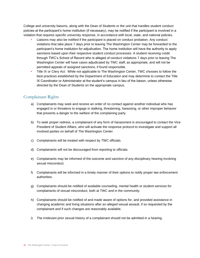College and university liaisons, along with the Dean of Students or the unit that handles student conduct policies at the participant's home institution (if necessary), may be notified if the participant is involved in a violation that requires specific university response, in accordance with local, state, and national policies.

- Liaisons may also be notified if the participant is placed on conduct probation. Any conduct violations that take place 7 days prior to leaving The Washington Center may be forwarded to the participant's home institution for adjudication. The home institution will have the authority to apply sanctions based upon their respective student conduct processes. A student receiving credit through TWC's School of Record who is alleged of conduct violations 7 days prior to leaving The Washington Center will have cases adjudicated by TWC staff, as appropriate, and will not be permitted appeals of assigned sanctions, if found responsible.
- Title IX or Clery Act: While not applicable to The Washington Center, TWC chooses to follow the best practices established by the Department of Education and may determine to contact the Title IX Coordinator or Administrator at the student's campus in lieu of the liaison, unless otherwise directed by the Dean of Students on the appropriate campus.

#### Complainant Rights

- a) Complainants may seek and receive an order of no contact against another individual who has engaged in or threatens to engage in stalking, threatening, harassing, or other improper behavior that presents a danger to the welfare of the complaining party.
- b) To seek proper redress, a complainant of any form of harassment is encouraged to contact the Vice President of Student Affairs, who will activate the response protocol to investigate and support all involved parties on behalf of The Washington Center.
- c) Complainants will be treated with respect by TWC officials.
- d) Complainants will not be discouraged from reporting to officials.
- e) Complainants may be informed of the outcome and sanction of any disciplinary hearing involving sexual misconduct.
- f) Complainants will be informed in a timely manner of their options to notify proper law enforcement authorities.
- g) Complainants should be notified of available counseling, mental health or student services for complainants of sexual misconduct, both at TWC and in the community.
- h) Complainants should be notified of and made aware of options for, and provided assistance in changing academic and living situations after an alleged sexual assault, if so requested by the complainant and if such changes are reasonably available.
- i) The irrelevant prior sexual history of a complainant should not be admitted in a hearing.